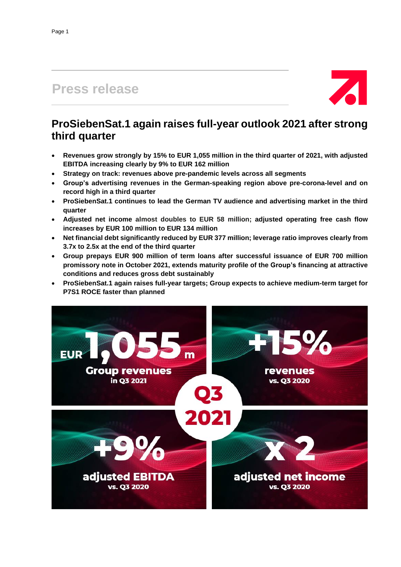# **Press release**



## **ProSiebenSat.1 again raises full-year outlook 2021 after strong third quarter**

- **Revenues grow strongly by 15% to EUR 1,055 million in the third quarter of 2021, with adjusted EBITDA increasing clearly by 9% to EUR 162 million**
- **Strategy on track: revenues above pre-pandemic levels across all segments**
- **Group's advertising revenues in the German-speaking region above pre-corona-level and on record high in a third quarter**
- **ProSiebenSat.1 continues to lead the German TV audience and advertising market in the third quarter**
- **Adjusted net income almost doubles to EUR 58 million; adjusted operating free cash flow increases by EUR 100 million to EUR 134 million**
- **Net financial debt significantly reduced by EUR 377 million; leverage ratio improves clearly from 3.7x to 2.5x at the end of the third quarter**
- **Group prepays EUR 900 million of term loans after successful issuance of EUR 700 million promissory note in October 2021, extends maturity profile of the Group's financing at attractive conditions and reduces gross debt sustainably**
- **ProSiebenSat.1 again raises full-year targets; Group expects to achieve medium-term target for P7S1 ROCE faster than planned**

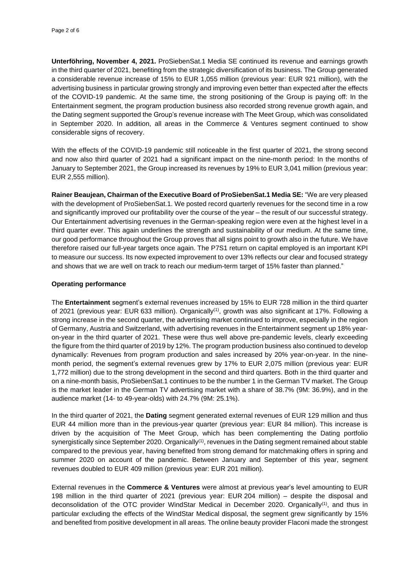**Unterföhring, November 4, 2021.** ProSiebenSat.1 Media SE continued its revenue and earnings growth in the third quarter of 2021, benefiting from the strategic diversification of its business. The Group generated a considerable revenue increase of 15% to EUR 1,055 million (previous year: EUR 921 million), with the advertising business in particular growing strongly and improving even better than expected after the effects of the COVID-19 pandemic. At the same time, the strong positioning of the Group is paying off: In the Entertainment segment, the program production business also recorded strong revenue growth again, and the Dating segment supported the Group's revenue increase with The Meet Group, which was consolidated in September 2020. In addition, all areas in the Commerce & Ventures segment continued to show considerable signs of recovery.

With the effects of the COVID-19 pandemic still noticeable in the first quarter of 2021, the strong second and now also third quarter of 2021 had a significant impact on the nine-month period: In the months of January to September 2021, the Group increased its revenues by 19% to EUR 3,041 million (previous year: EUR 2,555 million).

**Rainer Beaujean, Chairman of the Executive Board of ProSiebenSat.1 Media SE:** "We are very pleased with the development of ProSiebenSat.1. We posted record quarterly revenues for the second time in a row and significantly improved our profitability over the course of the year – the result of our successful strategy. Our Entertainment advertising revenues in the German-speaking region were even at the highest level in a third quarter ever. This again underlines the strength and sustainability of our medium. At the same time, our good performance throughout the Group proves that all signs point to growth also in the future. We have therefore raised our full-year targets once again. The P7S1 return on capital employed is an important KPI to measure our success. Its now expected improvement to over 13% reflects our clear and focused strategy and shows that we are well on track to reach our medium-term target of 15% faster than planned."

### **Operating performance**

The **Entertainment** segment's external revenues increased by 15% to EUR 728 million in the third quarter of 2021 (previous year: EUR 633 million). Organically<sup>(1)</sup>, growth was also significant at 17%. Following a strong increase in the second quarter, the advertising market continued to improve, especially in the region of Germany, Austria and Switzerland, with advertising revenues in the Entertainment segment up 18% yearon-year in the third quarter of 2021. These were thus well above pre-pandemic levels, clearly exceeding the figure from the third quarter of 2019 by 12%. The program production business also continued to develop dynamically: Revenues from program production and sales increased by 20% year-on-year. In the ninemonth period, the segment's external revenues grew by 17% to EUR 2,075 million (previous year: EUR 1,772 million) due to the strong development in the second and third quarters. Both in the third quarter and on a nine-month basis, ProSiebenSat.1 continues to be the number 1 in the German TV market. The Group is the market leader in the German TV advertising market with a share of 38.7% (9M: 36.9%), and in the audience market (14- to 49-year-olds) with 24.7% (9M: 25.1%).

In the third quarter of 2021, the **Dating** segment generated external revenues of EUR 129 million and thus EUR 44 million more than in the previous-year quarter (previous year: EUR 84 million). This increase is driven by the acquisition of The Meet Group, which has been complementing the Dating portfolio synergistically since September 2020. Organically $^{(1)}$ , revenues in the Dating segment remained about stable compared to the previous year, having benefited from strong demand for matchmaking offers in spring and summer 2020 on account of the pandemic. Between January and September of this year, segment revenues doubled to EUR 409 million (previous year: EUR 201 million).

External revenues in the **Commerce & Ventures** were almost at previous year's level amounting to EUR 198 million in the third quarter of 2021 (previous year: EUR 204 million) – despite the disposal and deconsolidation of the OTC provider WindStar Medical in December 2020. Organically<sup>(1)</sup>, and thus in particular excluding the effects of the WindStar Medical disposal, the segment grew significantly by 15% and benefited from positive development in all areas. The online beauty provider Flaconi made the strongest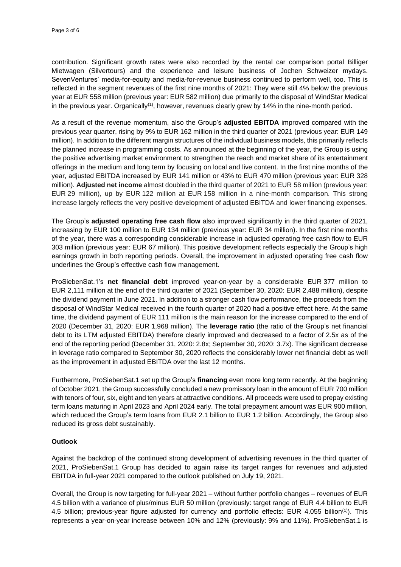contribution. Significant growth rates were also recorded by the rental car comparison portal Billiger Mietwagen (Silvertours) and the experience and leisure business of Jochen Schweizer mydays. SevenVentures' media-for-equity and media-for-revenue business continued to perform well, too. This is reflected in the segment revenues of the first nine months of 2021: They were still 4% below the previous year at EUR 558 million (previous year: EUR 582 million) due primarily to the disposal of WindStar Medical in the previous year. Organically $^{\text{\tiny{(1)}}}$ , however, revenues clearly grew by 14% in the nine-month period.

As a result of the revenue momentum, also the Group's **adjusted EBITDA** improved compared with the previous year quarter, rising by 9% to EUR 162 million in the third quarter of 2021 (previous year: EUR 149 million). In addition to the different margin structures of the individual business models, this primarily reflects the planned increase in programming costs. As announced at the beginning of the year, the Group is using the positive advertising market environment to strengthen the reach and market share of its entertainment offerings in the medium and long term by focusing on local and live content. In the first nine months of the year, adjusted EBITDA increased by EUR 141 million or 43% to EUR 470 million (previous year: EUR 328 million). **Adjusted net income** almost doubled in the third quarter of 2021 to EUR 58 million (previous year: EUR 29 million), up by EUR 122 million at EUR 158 million in a nine-month comparison. This strong increase largely reflects the very positive development of adjusted EBITDA and lower financing expenses.

The Group's **adjusted operating free cash flow** also improved significantly in the third quarter of 2021, increasing by EUR 100 million to EUR 134 million (previous year: EUR 34 million). In the first nine months of the year, there was a corresponding considerable increase in adjusted operating free cash flow to EUR 303 million (previous year: EUR 67 million). This positive development reflects especially the Group's high earnings growth in both reporting periods. Overall, the improvement in adjusted operating free cash flow underlines the Group's effective cash flow management.

ProSiebenSat.1's **net financial debt** improved year-on-year by a considerable EUR 377 million to EUR 2,111 million at the end of the third quarter of 2021 (September 30, 2020: EUR 2,488 million), despite the dividend payment in June 2021. In addition to a stronger cash flow performance, the proceeds from the disposal of WindStar Medical received in the fourth quarter of 2020 had a positive effect here. At the same time, the dividend payment of EUR 111 million is the main reason for the increase compared to the end of 2020 (December 31, 2020: EUR 1,968 million). The **leverage ratio** (the ratio of the Group's net financial debt to its LTM adjusted EBITDA) therefore clearly improved and decreased to a factor of 2.5x as of the end of the reporting period (December 31, 2020: 2.8x; September 30, 2020: 3.7x). The significant decrease in leverage ratio compared to September 30, 2020 reflects the considerably lower net financial debt as well as the improvement in adjusted EBITDA over the last 12 months.

Furthermore, ProSiebenSat.1 set up the Group's **financing** even more long term recently. At the beginning of October 2021, the Group successfully concluded a new promissory loan in the amount of EUR 700 million with tenors of four, six, eight and ten years at attractive conditions. All proceeds were used to prepay existing term loans maturing in April 2023 and April 2024 early. The total prepayment amount was EUR 900 million, which reduced the Group's term loans from EUR 2.1 billion to EUR 1.2 billion. Accordingly, the Group also reduced its gross debt sustainably.

## **Outlook**

Against the backdrop of the continued strong development of advertising revenues in the third quarter of 2021, ProSiebenSat.1 Group has decided to again raise its target ranges for revenues and adjusted EBITDA in full-year 2021 compared to the outlook published on July 19, 2021.

Overall, the Group is now targeting for full-year 2021 – without further portfolio changes – revenues of EUR 4.5 billion with a variance of plus/minus EUR 50 million (previously: target range of EUR 4.4 billion to EUR 4.5 billion; previous-year figure adjusted for currency and portfolio effects: EUR 4.055 billion<sup>(1)</sup>). This represents a year-on-year increase between 10% and 12% (previously: 9% and 11%). ProSiebenSat.1 is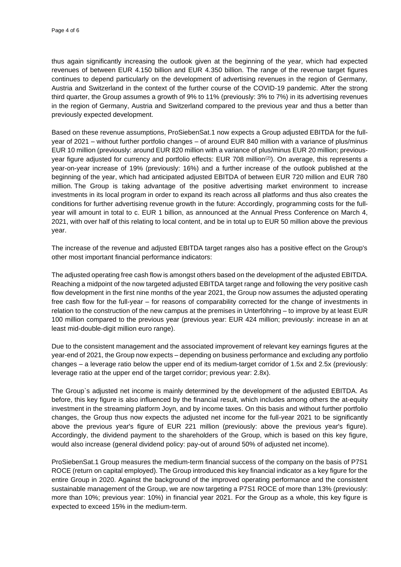thus again significantly increasing the outlook given at the beginning of the year, which had expected revenues of between EUR 4.150 billion and EUR 4.350 billion. The range of the revenue target figures continues to depend particularly on the development of advertising revenues in the region of Germany, Austria and Switzerland in the context of the further course of the COVID-19 pandemic. After the strong third quarter, the Group assumes a growth of 9% to 11% (previously: 3% to 7%) in its advertising revenues in the region of Germany, Austria and Switzerland compared to the previous year and thus a better than previously expected development.

Based on these revenue assumptions, ProSiebenSat.1 now expects a Group adjusted EBITDA for the fullyear of 2021 – without further portfolio changes – of around EUR 840 million with a variance of plus/minus EUR 10 million (previously: around EUR 820 million with a variance of plus/minus EUR 20 million; previousyear figure adjusted for currency and portfolio effects: EUR 708 million<sup>(2)</sup>). On average, this represents a year-on-year increase of 19% (previously: 16%) and a further increase of the outlook published at the beginning of the year, which had anticipated adjusted EBITDA of between EUR 720 million and EUR 780 million. The Group is taking advantage of the positive advertising market environment to increase investments in its local program in order to expand its reach across all platforms and thus also creates the conditions for further advertising revenue growth in the future: Accordingly, programming costs for the fullyear will amount in total to c. EUR 1 billion, as announced at the Annual Press Conference on March 4, 2021, with over half of this relating to local content, and be in total up to EUR 50 million above the previous year.

The increase of the revenue and adjusted EBITDA target ranges also has a positive effect on the Group's other most important financial performance indicators:

The adjusted operating free cash flow is amongst others based on the development of the adjusted EBITDA. Reaching a midpoint of the now targeted adjusted EBITDA target range and following the very positive cash flow development in the first nine months of the year 2021, the Group now assumes the adjusted operating free cash flow for the full-year – for reasons of comparability corrected for the change of investments in relation to the construction of the new campus at the premises in Unterföhring – to improve by at least EUR 100 million compared to the previous year (previous year: EUR 424 million; previously: increase in an at least mid-double-digit million euro range).

Due to the consistent management and the associated improvement of relevant key earnings figures at the year-end of 2021, the Group now expects – depending on business performance and excluding any portfolio changes – a leverage ratio below the upper end of its medium-target corridor of 1.5x and 2.5x (previously: leverage ratio at the upper end of the target corridor; previous year: 2.8x).

The Group`s adjusted net income is mainly determined by the development of the adjusted EBITDA. As before, this key figure is also influenced by the financial result, which includes among others the at-equity investment in the streaming platform Joyn, and by income taxes. On this basis and without further portfolio changes, the Group thus now expects the adjusted net income for the full-year 2021 to be significantly above the previous year's figure of EUR 221 million (previously: above the previous year's figure). Accordingly, the dividend payment to the shareholders of the Group, which is based on this key figure, would also increase (general dividend policy: pay-out of around 50% of adjusted net income).

ProSiebenSat.1 Group measures the medium-term financial success of the company on the basis of P7S1 ROCE (return on capital employed). The Group introduced this key financial indicator as a key figure for the entire Group in 2020. Against the background of the improved operating performance and the consistent sustainable management of the Group, we are now targeting a P7S1 ROCE of more than 13% (previously: more than 10%; previous year: 10%) in financial year 2021. For the Group as a whole, this key figure is expected to exceed 15% in the medium-term.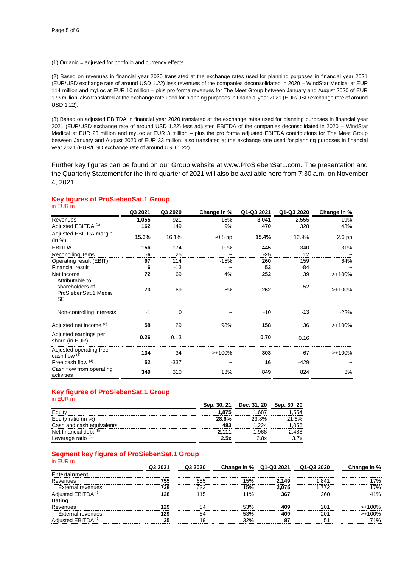(1) Organic = adjusted for portfolio and currency effects.

(2) Based on revenues in financial year 2020 translated at the exchange rates used for planning purposes in financial year 2021 (EUR/USD exchange rate of around USD 1.22) less revenues of the companies deconsolidated in 2020 – WindStar Medical at EUR 114 million and myLoc at EUR 10 million – plus pro forma revenues for The Meet Group between January and August 2020 of EUR 173 million, also translated at the exchange rate used for planning purposes in financial year 2021 (EUR/USD exchange rate of around USD 1.22).

(3) Based on adjusted EBITDA in financial year 2020 translated at the exchange rates used for planning purposes in financial year 2021 (EUR/USD exchange rate of around USD 1.22) less adjusted EBITDA of the companies deconsolidated in 2020 – WindStar Medical at EUR 23 million and myLoc at EUR 3 million – plus the pro forma adjusted EBITDA contributions for The Meet Group between January and August 2020 of EUR 33 million, also translated at the exchange rate used for planning purposes in financial year 2021 (EUR/USD exchange rate of around USD 1.22).

Further key figures can be found on our Group website at www.ProSiebenSat1.com. The presentation and the Quarterly Statement for the third quarter of 2021 will also be available here from 7:30 a.m. on November 4, 2021.

#### **Key figures of ProSiebenSat.1 Group** in EUR m

| .                                                                       | Q3 2021 | Q3 2020 | Change in % | Q1-Q3 2021 | Q1-Q3 2020 | Change in % |
|-------------------------------------------------------------------------|---------|---------|-------------|------------|------------|-------------|
| Revenues                                                                | 1,055   | 921     | 15%         | 3,041      | 2,555      | 19%         |
| Adjusted EBITDA (1)                                                     | 162     | 149     | 9%          | 470        | 328        | 43%         |
| Adjusted EBITDA margin<br>(in %)                                        | 15.3%   | 16.1%   | $-0.8$ pp   | 15.4%      | 12.9%      | $2.6$ pp    |
| <b>EBITDA</b>                                                           | 156     | 174     | $-10%$      | 445        | 340        | 31%         |
| Reconciling items                                                       | -6      | 25      |             | $-25$      | 12         |             |
| Operating result (EBIT)                                                 | 97      | 114     | $-15%$      | 260        | 159        | 64%         |
| <b>Financial result</b>                                                 | 6       | $-13$   | $\tilde{}$  | 53         | $-84$      |             |
| Net income                                                              | 72      | 69      | 4%          | 252        | 39         | $> +100%$   |
| Attributable to<br>shareholders of<br>ProSiebenSat.1 Media<br><b>SE</b> | 73      | 69      | 6%          | 262        | 52         | $> +100%$   |
| Non-controlling interests                                               | -1      | 0       |             | $-10$      | $-13$      | $-22%$      |
| Adjusted net income <sup>(2)</sup>                                      | 58      | 29      | 98%         | 158        | 36         | $> +100%$   |
| Adjusted earnings per<br>share (in EUR)                                 | 0.26    | 0.13    |             | 0.70       | 0.16       |             |
| Adjusted operating free<br>cash flow <sup>(3)</sup>                     | 134     | 34      | $>+100%$    | 303        | 67         | $> +100%$   |
| Free cash flow $(4)$                                                    | 52      | $-337$  | $\tilde{}$  | 16         | $-429$     |             |
| Cash flow from operating<br>activities                                  | 349     | 310     | 13%         | 849        | 824        | 3%          |

#### **Key figures of ProSiebenSat.1 Group** in EUR m

|                               | Sep. 30, 21 | Dec. 31, 20 | Sep. 30. |
|-------------------------------|-------------|-------------|----------|
|                               | 1.875       |             |          |
| ity ratio (in %)              | 28.6%       | 23.8%       | 6%       |
| Cash and cash equivalents     |             |             |          |
| Net financial debt (5)        |             |             |          |
| Leverage ratio <sup>(6)</sup> | 25Y         |             |          |

#### **Segment key figures of ProSiebenSat.1 Group** in EUR m

| .                   |         |         |             |            |            |             |
|---------------------|---------|---------|-------------|------------|------------|-------------|
|                     | Q3 2021 | Q3 2020 | Change in % | Q1-Q3 2021 | Q1-Q3 2020 | Change in % |
| Entertainment       |         |         |             |            |            |             |
| Revenues            | 755     | 655     | 15%         | 2.149      | 1,841      | 17%         |
| External revenues   | 728     | 633     | 15%         | 2.075      | 1,772      | 17%         |
| Adjusted EBITDA (1) | 128     | 115     | 11%         | 367        | 260        | 41%         |
| <b>Dating</b>       |         |         |             |            |            |             |
| Revenues            | 129     | 84      | 53%         | 409        | 201        | $>+100%$    |
| External revenues   | 129     | 84      | 53%         | 409        | 201        | $>+100%$    |
| Adjusted EBITDA (1) | 25      | 19      | 32%         | 87         | 51         | 71%         |